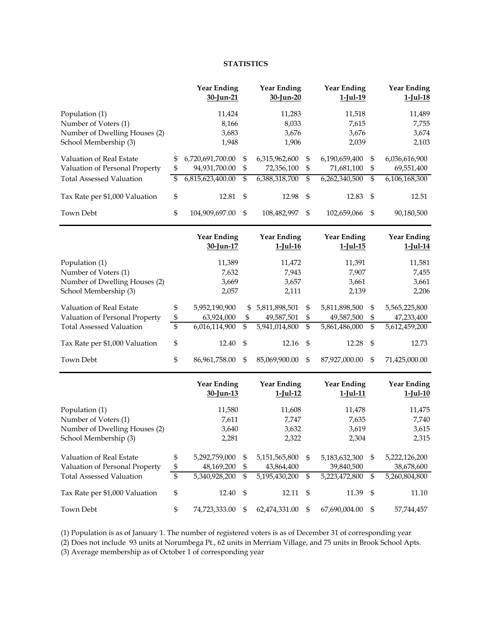#### **STATISTICS**

|                                 |                                                 | <b>Year Ending</b><br>30-Jun-21 |    | <b>Year Ending</b><br>30-Jun-20   |                                   | <b>Year Ending</b><br>$1$ -Jul-19 |                 | <b>Year Ending</b><br>$1$ -Jul-18 |
|---------------------------------|-------------------------------------------------|---------------------------------|----|-----------------------------------|-----------------------------------|-----------------------------------|-----------------|-----------------------------------|
| Population (1)                  |                                                 | 11,424                          |    | 11,283                            |                                   | 11,518                            |                 | 11,489                            |
| Number of Voters (1)            |                                                 | 8,166                           |    | 8,033                             |                                   | 7,615                             |                 | 7,755                             |
| Number of Dwelling Houses (2)   |                                                 | 3,683                           |    | 3,676                             |                                   | 3,676                             |                 | 3,674                             |
| School Membership (3)           |                                                 | 1,948                           |    | 1,906                             |                                   | 2,039                             |                 | 2,103                             |
| Valuation of Real Estate        | \$                                              | 6,720,691,700.00                | \$ | 6,315,962,600                     | \$                                | 6,190,659,400                     | \$              | 6,036,616,900                     |
| Valuation of Personal Property  | \$                                              | 94,931,700.00                   | \$ | 72,356,100                        | \$                                | 71,681,100                        | \$              | 69,551,400                        |
| <b>Total Assessed Valuation</b> | \$                                              | 6,815,623,400.00                | \$ | 6,388,318,700                     | \$                                | 6,262,340,500                     | \$              | 6,106,168,300                     |
| Tax Rate per \$1,000 Valuation  | \$                                              | 12.81                           | \$ | 12.98                             | \$                                | 12.83                             | \$              | 12.51                             |
| Town Debt                       | \$                                              | 104,909,697.00                  | \$ | 108,482,997                       | \$                                | 102,659,066                       | \$              | 90,180,500                        |
|                                 |                                                 | <b>Year Ending</b><br>30-Jun-17 |    | <b>Year Ending</b><br>$1$ -Jul-16 | <b>Year Ending</b><br>$1$ -Jul-15 |                                   |                 | <b>Year Ending</b><br>$1$ -Jul-14 |
| Population (1)                  |                                                 | 11,389                          |    | 11,472                            |                                   | 11,391                            |                 | 11,581                            |
| Number of Voters (1)            |                                                 | 7,632                           |    | 7,943                             |                                   | 7,907                             |                 | 7,455                             |
| Number of Dwelling Houses (2)   |                                                 | 3,669                           |    | 3,657                             |                                   | 3,661                             |                 | 3,661                             |
| School Membership (3)           |                                                 | 2,057                           |    | 2,111                             |                                   | 2,139                             |                 | 2,206                             |
| Valuation of Real Estate        | \$                                              | 5,952,190,900                   | \$ | 5,811,898,501                     | \$                                | 5,811,898,500                     | \$              | 5,565,225,800                     |
| Valuation of Personal Property  | $\, \, \raisebox{10pt}{\text{\circle*{1.5}}}\,$ | 63,924,000                      | \$ | 49,587,501                        | \$                                | 49,587,500                        | \$              | 47,233,400                        |
| <b>Total Assessed Valuation</b> | $\mathfrak{S}$                                  | 6,016,114,900                   | \$ | 5,941,014,800                     | $\overline{\$}$                   | 5,861,486,000                     | $\overline{\$}$ | 5,612,459,200                     |
| Tax Rate per \$1,000 Valuation  | \$                                              | 12.40                           | \$ | 12.16                             | $\mathfrak{S}$                    | 12.28                             | \$              | 12.73                             |
| Town Debt                       | \$                                              | 86,961,758.00                   | \$ | 85,069,900.00                     | \$                                | 87,927,000.00                     | \$              | 71,425,000.00                     |
|                                 |                                                 | <b>Year Ending</b><br>30-Jun-13 |    | <b>Year Ending</b>                |                                   | <b>Year Ending</b>                |                 | <b>Year Ending</b>                |
|                                 |                                                 |                                 |    | 1-Jul-12                          |                                   | <u>1-Jul-11</u>                   |                 | 1-Jul-10                          |
| Population (1)                  |                                                 | 11,580                          |    | 11,608                            |                                   | 11,478                            |                 | 11,475                            |
| Number of Voters (1)            |                                                 | 7,611                           |    | 7,747                             |                                   | 7,635                             |                 | 7,740                             |
| Number of Dwelling Houses (2)   |                                                 | 3,640                           |    | 3,632                             |                                   | 3,619                             |                 | 3,615                             |
| School Membership (3)           |                                                 | 2,281                           |    | 2,322                             |                                   | 2,304                             |                 | 2,315                             |
| Valuation of Real Estate        | \$                                              | 5,292,759,000                   | \$ | 5,151,565,800                     | \$                                | 5,183,632,300                     | \$              | 5,222,126,200                     |
| Valuation of Personal Property  | \$                                              | 48,169,200                      | \$ | 43,864,400                        |                                   | 39,840,500                        |                 | 38,678,600                        |
| <b>Total Assessed Valuation</b> | \$                                              | 5,340,928,200                   | \$ | 5,195,430,200                     | $\mathbb{S}$                      | 5,223,472,800                     | \$              | 5,260,804,800                     |
| Tax Rate per \$1,000 Valuation  | \$                                              | 12.40                           | \$ | 12.11                             | $\boldsymbol{\mathsf{\$}}$        | 11.39                             | \$              | 11.10                             |
| Town Debt                       | \$                                              | 74,723,333.00                   | \$ | 62,474,331.00                     | $\boldsymbol{\mathsf{S}}$         | 67,690,004.00                     | \$              | 57,744,457                        |

(1) Population is as of January 1. The number of registered voters is as of December 31 of corresponding year

(2) Does not include 93 units at Norumbega Pt., 62 units in Merriam Village, and 75 units in Brook School Apts.

(3) Average membership as of October 1 of corresponding year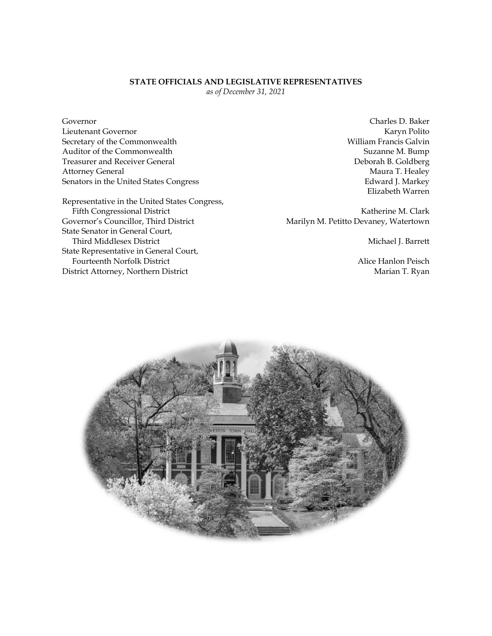# **STATE OFFICIALS AND LEGISLATIVE REPRESENTATIVES**

*as of December 31, 2021*

Governor Charles D. Baker Lieutenant Governor Karyn Polito Secretary of the Commonwealth William Francis Galvin Auditor of the Commonwealth Suzanne M. Bump Treasurer and Receiver General Deborah B. Goldberg Attorney General **Maura T. Healey** Senators in the United States Congress **Edward J. Markey** Edward J. Markey

Representative in the United States Congress, Fifth Congressional District **Katherine M. Clark** Katherine M. Clark Governor's Councillor, Third District Marilyn M. Petitto Devaney, Watertown State Senator in General Court, Third Middlesex District **Michael J. Barrett** State Representative in General Court, Fourteenth Norfolk District **Alice Hanlon Peisch** District Attorney, Northern District Marian T. Ryan

Elizabeth Warren

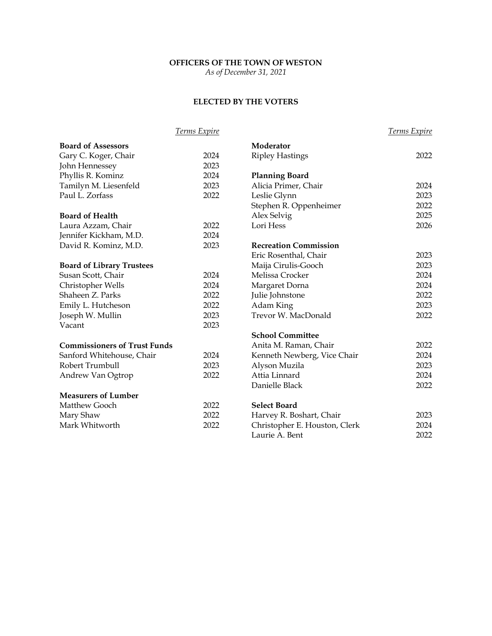## **OFFICERS OF THE TOWN OF WESTON**

*As of December 31, 2021*

### **ELECTED BY THE VOTERS**

|                                     | <b>Terms Expire</b> |                               | Terms Expire |
|-------------------------------------|---------------------|-------------------------------|--------------|
| <b>Board of Assessors</b>           |                     | Moderator                     |              |
| Gary C. Koger, Chair                | 2024                | <b>Ripley Hastings</b>        | 2022         |
| John Hennessey                      | 2023                |                               |              |
| Phyllis R. Kominz                   | 2024                | <b>Planning Board</b>         |              |
| Tamilyn M. Liesenfeld               | 2023                | Alicia Primer, Chair          | 2024         |
| Paul L. Zorfass                     | 2022                | Leslie Glynn                  | 2023         |
|                                     |                     | Stephen R. Oppenheimer        | 2022         |
| <b>Board of Health</b>              |                     | Alex Selvig                   | 2025         |
| Laura Azzam, Chair                  | 2022                | Lori Hess                     | 2026         |
| Jennifer Kickham, M.D.              | 2024                |                               |              |
| David R. Kominz, M.D.               | 2023                | <b>Recreation Commission</b>  |              |
|                                     |                     | Eric Rosenthal, Chair         | 2023         |
| <b>Board of Library Trustees</b>    |                     | Maija Cirulis-Gooch           | 2023         |
| Susan Scott, Chair                  | 2024                | Melissa Crocker               | 2024         |
| Christopher Wells                   | 2024                | Margaret Dorna                | 2024         |
| Shaheen Z. Parks                    | 2022                | Julie Johnstone               | 2022         |
| Emily L. Hutcheson                  | 2022                | Adam King                     | 2023         |
| Joseph W. Mullin                    | 2023                | Trevor W. MacDonald           | 2022         |
| Vacant                              | 2023                |                               |              |
|                                     |                     | <b>School Committee</b>       |              |
| <b>Commissioners of Trust Funds</b> |                     | Anita M. Raman, Chair         | 2022         |
| Sanford Whitehouse, Chair           | 2024                | Kenneth Newberg, Vice Chair   | 2024         |
| Robert Trumbull                     | 2023                | Alyson Muzila                 | 2023         |
| Andrew Van Ogtrop                   | 2022                | Attia Linnard                 | 2024         |
|                                     |                     | Danielle Black                | 2022         |
| <b>Measurers of Lumber</b>          |                     |                               |              |
| Matthew Gooch                       | 2022                | <b>Select Board</b>           |              |
| Mary Shaw                           | 2022                | Harvey R. Boshart, Chair      | 2023         |
| Mark Whitworth                      | 2022                | Christopher E. Houston, Clerk | 2024         |
|                                     |                     | Laurie A. Bent                | 2022         |